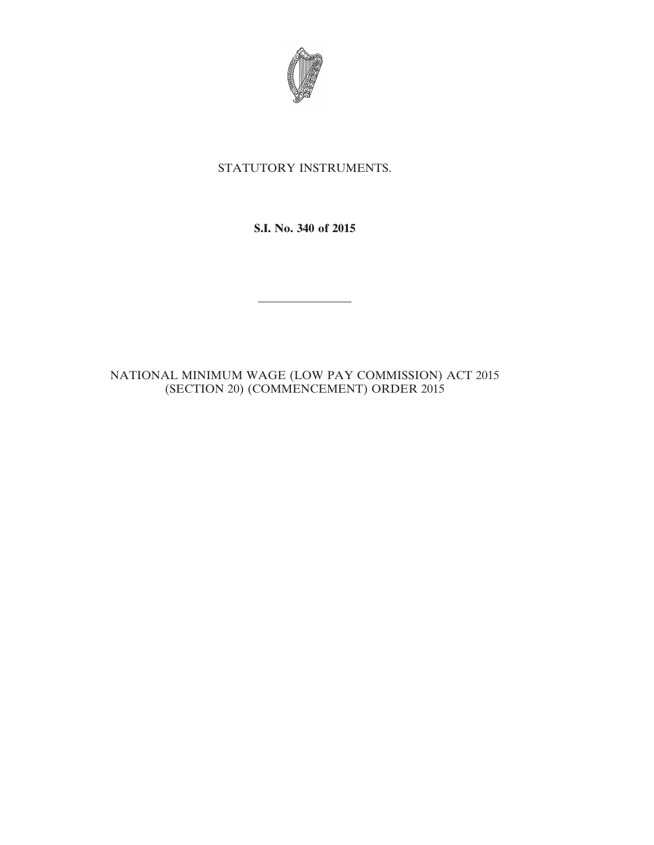

## STATUTORY INSTRUMENTS.

**S.I. No. 340 of 2015**

————————

NATIONAL MINIMUM WAGE (LOW PAY COMMISSION) ACT 2015 (SECTION 20) (COMMENCEMENT) ORDER 2015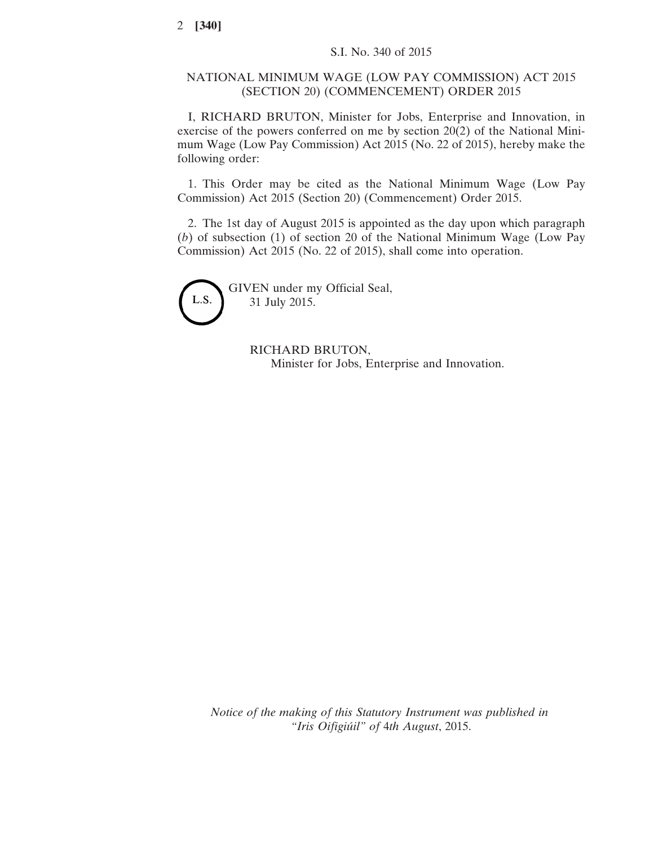## NATIONAL MINIMUM WAGE (LOW PAY COMMISSION) ACT 2015 (SECTION 20) (COMMENCEMENT) ORDER 2015

I, RICHARD BRUTON, Minister for Jobs, Enterprise and Innovation, in exercise of the powers conferred on me by section 20(2) of the National Minimum Wage (Low Pay Commission) Act 2015 (No. 22 of 2015), hereby make the following order:

1. This Order may be cited as the National Minimum Wage (Low Pay Commission) Act 2015 (Section 20) (Commencement) Order 2015.

2. The 1st day of August 2015 is appointed as the day upon which paragraph (*b*) of subsection (1) of section 20 of the National Minimum Wage (Low Pay Commission) Act 2015 (No. 22 of 2015), shall come into operation.



GIVEN under my Official Seal, 31 July 2015.

> RICHARD BRUTON, Minister for Jobs, Enterprise and Innovation.

*Notice of the making of this Statutory Instrument was published in "Iris Oifigiúil" of* 4*th August*, 2015.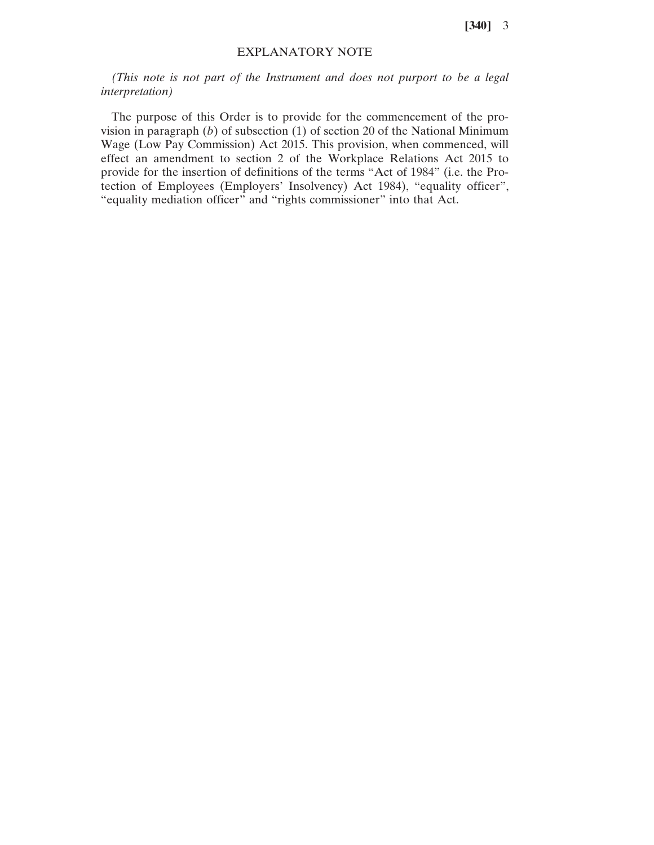**[340]** 3

## EXPLANATORY NOTE

*(This note is not part of the Instrument and does not purport to be a legal interpretation)*

The purpose of this Order is to provide for the commencement of the provision in paragraph (*b*) of subsection (1) of section 20 of the National Minimum Wage (Low Pay Commission) Act 2015. This provision, when commenced, will effect an amendment to section 2 of the Workplace Relations Act 2015 to provide for the insertion of definitions of the terms "Act of 1984" (i.e. the Protection of Employees (Employers' Insolvency) Act 1984), "equality officer", "equality mediation officer" and "rights commissioner" into that Act.